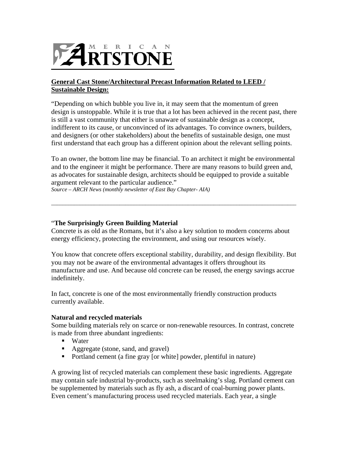

## **General Cast Stone/Architectural Precast Information Related to LEED / Sustainable Design:**

"Depending on which bubble you live in, it may seem that the momentum of green design is unstoppable. While it is true that a lot has been achieved in the recent past, there is still a vast community that either is unaware of sustainable design as a concept, indifferent to its cause, or unconvinced of its advantages. To convince owners, builders, and designers (or other stakeholders) about the benefits of sustainable design, one must first understand that each group has a different opinion about the relevant selling points.

To an owner, the bottom line may be financial. To an architect it might be environmental and to the engineer it might be performance. There are many reasons to build green and, as advocates for sustainable design, architects should be equipped to provide a suitable argument relevant to the particular audience."

\_\_\_\_\_\_\_\_\_\_\_\_\_\_\_\_\_\_\_\_\_\_\_\_\_\_\_\_\_\_\_\_\_\_\_\_\_\_\_\_\_\_\_\_\_\_\_\_\_\_\_\_\_\_\_\_\_\_\_\_\_\_\_\_\_\_\_\_\_\_\_\_\_\_\_\_\_\_\_\_\_\_\_\_\_\_

*Source – ARCH News (monthly newsletter of East Bay Chapter- AIA)*

## "**The Surprisingly Green Building Material**

Concrete is as old as the Romans, but it's also a key solution to modern concerns about energy efficiency, protecting the environment, and using our resources wisely.

You know that concrete offers exceptional stability, durability, and design flexibility. But you may not be aware of the environmental advantages it offers throughout its manufacture and use. And because old concrete can be reused, the energy savings accrue indefinitely.

In fact, concrete is one of the most environmentally friendly construction products currently available.

#### **Natural and recycled materials**

Some building materials rely on scarce or non-renewable resources. In contrast, concrete is made from three abundant ingredients:

- Water
- Aggregate (stone, sand, and gravel)
- Portland cement (a fine gray [or white] powder, plentiful in nature)

A growing list of recycled materials can complement these basic ingredients. Aggregate may contain safe industrial by-products, such as steelmaking's slag. Portland cement can be supplemented by materials such as fly ash, a discard of coal-burning power plants. Even cement's manufacturing process used recycled materials. Each year, a single